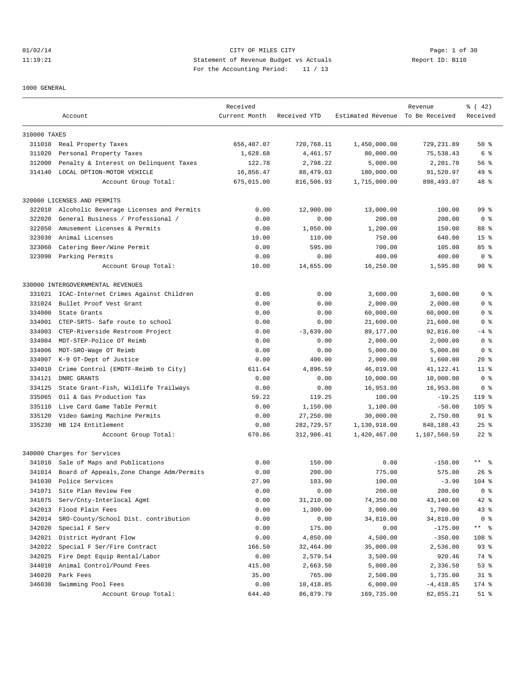## 01/02/14 Page: 1 of 30 11:19:21 Statement of Revenue Budget vs Actuals Report ID: B110 For the Accounting Period: 11 / 13

1000 GENERAL

|              |                                                    | Received                |                         |                                  | Revenue                 | % (42)          |
|--------------|----------------------------------------------------|-------------------------|-------------------------|----------------------------------|-------------------------|-----------------|
|              | Account                                            | Current Month           | Received YTD            | Estimated Revenue To Be Received |                         | Received        |
| 310000 TAXES |                                                    |                         |                         |                                  |                         |                 |
|              | 311010 Real Property Taxes                         | 656,407.07              | 720,768.11              | 1,450,000.00                     | 729,231.89              | 50%             |
| 311020       | Personal Property Taxes                            | 1,628.68                | 4,461.57                | 80,000.00                        | 75,538.43               | 6 %             |
| 312000       |                                                    | 122.78                  | 2,798.22                | 5,000.00                         | 2,201.78                | 56 %            |
|              | Penalty & Interest on Delinquent Taxes             |                         |                         |                                  |                         | 49 %            |
| 314140       | LOCAL OPTION-MOTOR VEHICLE<br>Account Group Total: | 16,856.47<br>675,015.00 | 88,479.03<br>816,506.93 | 180,000.00<br>1,715,000.00       | 91,520.97<br>898,493.07 | $48*$           |
|              |                                                    |                         |                         |                                  |                         |                 |
|              | 320000 LICENSES AND PERMITS                        |                         |                         |                                  |                         |                 |
| 322010       | Alcoholic Beverage Licenses and Permits            | 0.00                    | 12,900.00               | 13,000.00                        | 100.00                  | 99 <sub>8</sub> |
| 322020       | General Business / Professional /                  | 0.00                    | 0.00                    | 200.00                           | 200.00                  | 0 <sub>8</sub>  |
| 322050       | Amusement Licenses & Permits                       | 0.00                    | 1,050.00                | 1,200.00                         | 150.00                  | 88 %            |
| 323030       | Animal Licenses                                    | 10.00                   | 110.00                  | 750.00                           | 640.00                  | 15 <sup>°</sup> |
| 323060       | Catering Beer/Wine Permit                          | 0.00                    | 595.00                  | 700.00                           | 105.00                  | 85%             |
|              | 323090 Parking Permits                             | 0.00                    | 0.00                    | 400.00                           | 400.00                  | 0 <sup>8</sup>  |
|              | Account Group Total:                               | 10.00                   | 14,655.00               | 16,250.00                        | 1,595.00                | 90%             |
|              | 330000 INTERGOVERNMENTAL REVENUES                  |                         |                         |                                  |                         |                 |
| 331021       | ICAC-Internet Crimes Against Children              | 0.00                    | 0.00                    | 3,600.00                         | 3,600.00                | 0 <sup>8</sup>  |
| 331024       | Bullet Proof Vest Grant                            | 0.00                    | 0.00                    | 2,000.00                         | 2,000.00                | 0 <sup>8</sup>  |
| 334000       | State Grants                                       | 0.00                    | 0.00                    | 60,000.00                        | 60,000.00               | 0 <sup>8</sup>  |
| 334001       | CTEP-SRTS- Safe route to school                    | 0.00                    | 0.00                    | 21,600.00                        | 21,600.00               | 0 %             |
| 334003       | CTEP-Riverside Restroom Project                    | 0.00                    | $-3.639.00$             | 89,177.00                        | 92,816.00               | $-4$ %          |
| 334004       | MDT-STEP-Police OT Reimb                           | 0.00                    | 0.00                    | 2,000.00                         | 2,000.00                | 0 <sup>8</sup>  |
| 334006       | MDT-SRO-Wage OT Reimb                              | 0.00                    | 0.00                    | 5,000.00                         | 5,000.00                | 0 <sup>8</sup>  |
| 334007       | K-9 OT-Dept of Justice                             | 0.00                    | 400.00                  | 2,000.00                         | 1,600.00                | $20*$           |
| 334010       | Crime Control (EMDTF-Reimb to City)                | 611.64                  | 4,896.59                | 46,019.00                        | 41,122.41               | $11$ %          |
| 334121       | DNRC GRANTS                                        | 0.00                    | 0.00                    | 10,000.00                        | 10,000.00               | 0 <sup>8</sup>  |
| 334125       | State Grant-Fish, Wildlife Trailways               | 0.00                    | 0.00                    | 16,953.00                        | 16,953.00               | 0 <sub>8</sub>  |
| 335065       | Oil & Gas Production Tax                           | 59.22                   | 119.25                  | 100.00                           |                         | $119$ %         |
|              |                                                    |                         |                         |                                  | $-19.25$                |                 |
| 335110       | Live Card Game Table Permit                        | 0.00                    | 1,150.00                | 1,100.00                         | $-50.00$                | $105$ %         |
| 335120       | Video Gaming Machine Permits                       | 0.00                    | 27,250.00               | 30,000.00                        | 2,750.00                | $91$ %          |
| 335230       | HB 124 Entitlement                                 | 0.00                    | 282,729.57              | 1,130,918.00                     | 848,188.43              | $25$ %          |
|              | Account Group Total:                               | 670.86                  | 312,906.41              | 1,420,467.00                     | 1,107,560.59            | $22$ %          |
|              | 340000 Charges for Services                        |                         |                         |                                  |                         |                 |
| 341010       | Sale of Maps and Publications                      | 0.00                    | 150.00                  | 0.00                             | $-150.00$               | $***$ $ -$      |
| 341014       | Board of Appeals, Zone Change Adm/Permits          | 0.00                    | 200.00                  | 775.00                           | 575.00                  | $26$ %          |
| 341030       | Police Services                                    | 27.90                   | 103.90                  | 100.00                           | $-3.90$                 | $104$ %         |
| 341071       | Site Plan Review Fee                               | 0.00                    | 0.00                    | 200.00                           | 200.00                  | 0 <sup>8</sup>  |
| 341075       | Serv/Cnty-Interlocal Agmt                          | 0.00                    | 31,210.00               | 74,350.00                        | 43,140.00               | 42 %            |
| 342013       | Flood Plain Fees                                   | 0.00                    | 1,300.00                | 3,000.00                         | 1,700.00                | 43 %            |
| 342014       | SRO-County/School Dist. contribution               | 0.00                    | 0.00                    | 34,810.00                        | 34,810.00               | 0 <sub>8</sub>  |
| 342020       | Special F Serv                                     | 0.00                    | 175.00                  | 0.00                             | $-175.00$               | ** 응            |
| 342021       | District Hydrant Flow                              | 0.00                    | 4,850.00                | 4,500.00                         | $-350.00$               | 108 %           |
| 342022       | Special F Ser/Fire Contract                        | 166.50                  | 32,464.00               | 35,000.00                        | 2,536.00                | $93$ $%$        |
| 342025       | Fire Dept Equip Rental/Labor                       | 0.00                    | 2,579.54                | 3,500.00                         | 920.46                  | 74 %            |
| 344010       | Animal Control/Pound Fees                          | 415.00                  | 2,663.50                | 5,000.00                         | 2,336.50                | 53%             |
| 346020       | Park Fees                                          | 35.00                   | 765.00                  | 2,500.00                         | 1,735.00                | $31$ %          |
| 346030       | Swimming Pool Fees                                 | 0.00                    | 10,418.85               | 6,000.00                         | $-4,418.85$             | 174 %           |
|              | Account Group Total:                               | 644.40                  | 86,879.79               | 169,735.00                       | 82,855.21               | $51$ %          |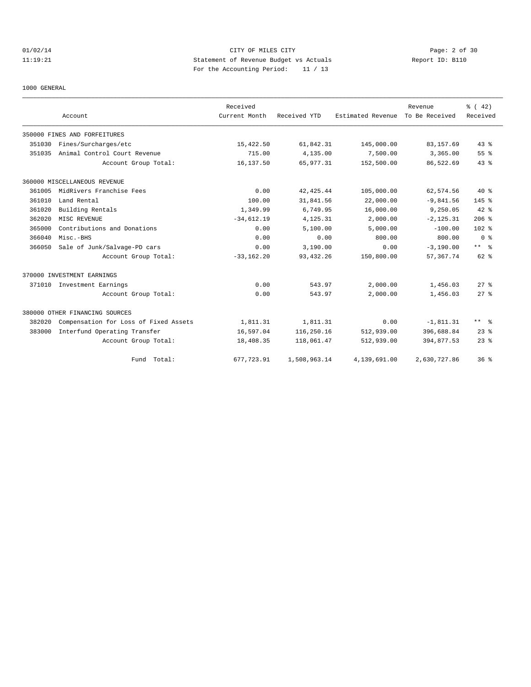## 01/02/14 Page: 2 of 30 11:19:21 Statement of Revenue Budget vs Actuals Report ID: B110 For the Accounting Period: 11 / 13

1000 GENERAL

|        |                                       | Received      |              |                   | Revenue        | % (42)                  |
|--------|---------------------------------------|---------------|--------------|-------------------|----------------|-------------------------|
|        | Account                               | Current Month | Received YTD | Estimated Revenue | To Be Received | Received                |
|        | 350000 FINES AND FORFEITURES          |               |              |                   |                |                         |
| 351030 | Fines/Surcharges/etc                  | 15,422.50     | 61,842.31    | 145,000.00        | 83, 157.69     | 43.8                    |
| 351035 | Animal Control Court Revenue          | 715.00        | 4,135.00     | 7,500.00          | 3,365.00       | 55%                     |
|        | Account Group Total:                  | 16,137.50     | 65,977.31    | 152,500.00        | 86,522.69      | 43.8                    |
|        | 360000 MISCELLANEOUS REVENUE          |               |              |                   |                |                         |
| 361005 | MidRivers Franchise Fees              | 0.00          | 42, 425.44   | 105,000.00        | 62,574.56      | $40*$                   |
| 361010 | Land Rental                           | 100.00        | 31,841.56    | 22,000.00         | $-9,841.56$    | $145$ %                 |
| 361020 | Building Rentals                      | 1,349.99      | 6,749.95     | 16,000.00         | 9,250.05       | $42*$                   |
| 362020 | MISC REVENUE                          | $-34,612.19$  | 4, 125. 31   | 2,000.00          | $-2, 125.31$   | $206$ %                 |
| 365000 | Contributions and Donations           | 0.00          | 5,100.00     | 5,000.00          | $-100.00$      | $102$ %                 |
| 366040 | Misc.-BHS                             | 0.00          | 0.00         | 800.00            | 800.00         | $0 \text{ }$ $\text{ }$ |
| 366050 | Sale of Junk/Salvage-PD cars          | 0.00          | 3,190.00     | 0.00              | $-3,190.00$    | $***$ $ \frac{6}{9}$    |
|        | Account Group Total:                  | $-33, 162.20$ | 93, 432.26   | 150,800.00        | 57, 367. 74    | 62 %                    |
|        | 370000 INVESTMENT EARNINGS            |               |              |                   |                |                         |
|        | 371010 Investment Earnings            | 0.00          | 543.97       | 2,000.00          | 1,456.03       | $27$ $%$                |
|        | Account Group Total:                  | 0.00          | 543.97       | 2,000.00          | 1,456.03       | 27%                     |
|        | 380000 OTHER FINANCING SOURCES        |               |              |                   |                |                         |
| 382020 | Compensation for Loss of Fixed Assets | 1,811.31      | 1,811.31     | 0.00              | $-1,811.31$    | $***$ $ \frac{6}{9}$    |
| 383000 | Interfund Operating Transfer          | 16,597.04     | 116,250.16   | 512,939.00        | 396,688.84     | $23$ $%$                |
|        | Account Group Total:                  | 18,408.35     | 118,061.47   | 512,939.00        | 394,877.53     | $23$ $%$                |
|        | Fund Total:                           | 677.723.91    | 1,508,963.14 | 4,139,691.00      | 2,630,727.86   | 36%                     |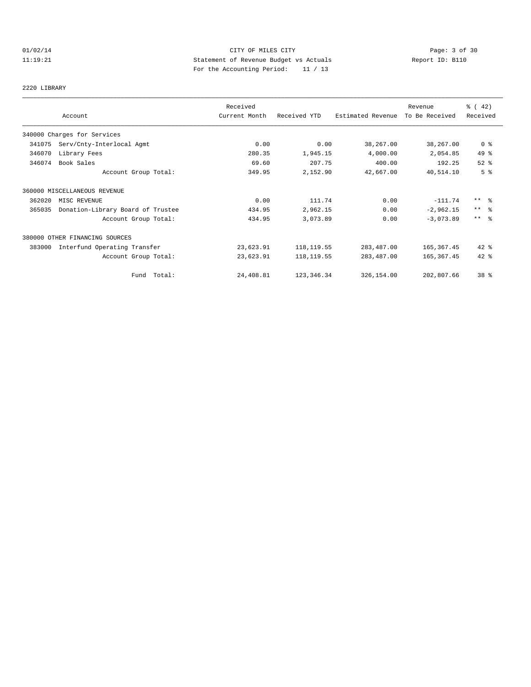## 01/02/14 Page: 3 of 30 11:19:21 Statement of Revenue Budget vs Actuals Report ID: B110 For the Accounting Period: 11 / 13

2220 LIBRARY

|        |                                   | Received      |              |                   | Revenue        | $\frac{1}{6}$ (42) |
|--------|-----------------------------------|---------------|--------------|-------------------|----------------|--------------------|
|        | Account                           | Current Month | Received YTD | Estimated Revenue | To Be Received | Received           |
|        | 340000 Charges for Services       |               |              |                   |                |                    |
| 341075 | Serv/Cnty-Interlocal Agmt         | 0.00          | 0.00         | 38,267.00         | 38,267.00      | 0 <sub>8</sub>     |
| 346070 | Library Fees                      | 280.35        | 1,945.15     | 4,000.00          | 2,054.85       | 49 %               |
| 346074 | Book Sales                        | 69.60         | 207.75       | 400.00            | 192.25         | $52$ $%$           |
|        | Account Group Total:              | 349.95        | 2,152.90     | 42,667.00         | 40,514.10      | 5 <sup>8</sup>     |
|        | 360000 MISCELLANEOUS REVENUE      |               |              |                   |                |                    |
| 362020 | MISC REVENUE                      | 0.00          | 111.74       | 0.00              | $-111.74$      | $***$ 8            |
| 365035 | Donation-Library Board of Trustee | 434.95        | 2,962.15     | 0.00              | $-2,962.15$    | $***$ $\approx$    |
|        | Account Group Total:              | 434.95        | 3,073.89     | 0.00              | $-3,073.89$    | $***$ $ -$         |
|        | 380000 OTHER FINANCING SOURCES    |               |              |                   |                |                    |
| 383000 | Interfund Operating Transfer      | 23,623.91     | 118, 119.55  | 283,487.00        | 165, 367.45    | 42 %               |
|        | Account Group Total:              | 23,623.91     | 118, 119.55  | 283,487.00        | 165, 367.45    | 42 %               |
|        | Fund Total:                       | 24,408.81     | 123, 346. 34 | 326,154.00        | 202,807.66     | 38 <sup>8</sup>    |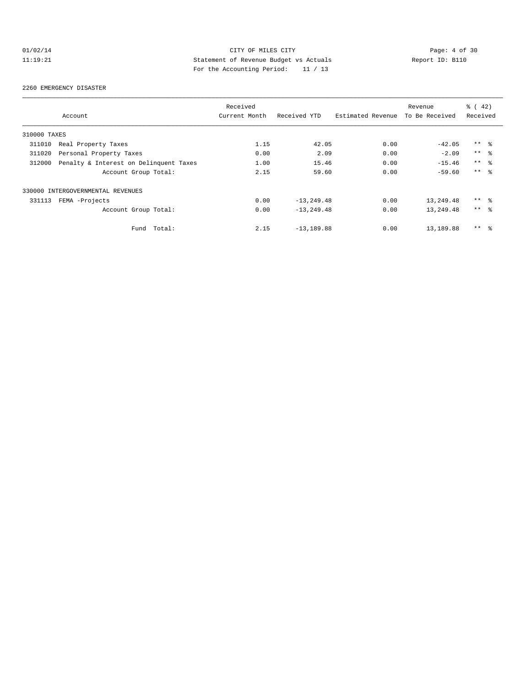## 01/02/14 CITY OF MILES CITY Page: 4 of 30<br>11:19:21 Statement of Revenue Budget vs Actuals Report ID: B110<br>Por the Accumular Deviced: 21/12 11:19:21 Statement of Revenue Budget vs Actuals Report ID: B110 For the Accounting Period: 11 / 13

#### 2260 EMERGENCY DISASTER

|              |                                        | Received      |                |                   | Revenue        | $\frac{1}{6}$ (42) |
|--------------|----------------------------------------|---------------|----------------|-------------------|----------------|--------------------|
|              | Account                                | Current Month | Received YTD   | Estimated Revenue | To Be Received | Received           |
| 310000 TAXES |                                        |               |                |                   |                |                    |
| 311010       | Real Property Taxes                    | 1.15          | 42.05          | 0.00              | $-42.05$       | $***$ %            |
| 311020       | Personal Property Taxes                | 0.00          | 2.09           | 0.00              | $-2.09$        | $***$ $\approx$    |
| 312000       | Penalty & Interest on Delinquent Taxes | 1.00          | 15.46          | 0.00              | $-15.46$       | $***$ $\approx$    |
|              | Account Group Total:                   | 2.15          | 59.60          | 0.00              | $-59.60$       | $***$ $\approx$    |
|              | 330000 INTERGOVERNMENTAL REVENUES      |               |                |                   |                |                    |
| 331113       | FEMA -Projects                         | 0.00          | $-13, 249.48$  | 0.00              | 13,249.48      | $***$ %            |
|              | Account Group Total:                   | 0.00          | $-13, 249, 48$ | 0.00              | 13,249.48      | $***$ %            |
|              | Total:<br>Fund                         | 2.15          | $-13, 189, 88$ | 0.00              | 13,189.88      | $***$ %            |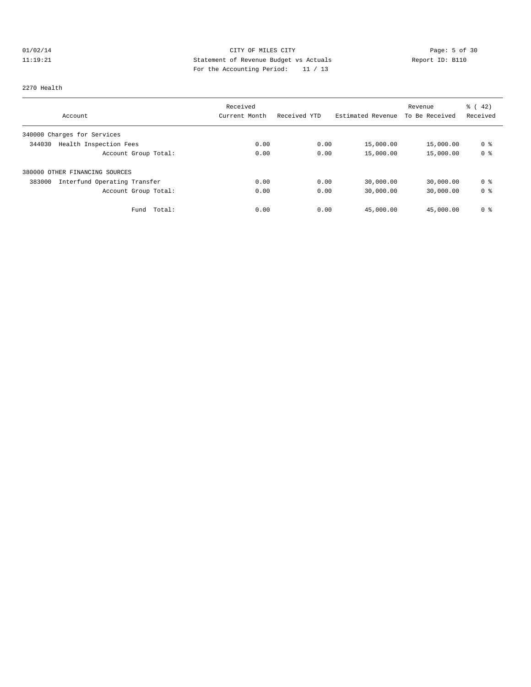## 01/02/14 CITY OF MILES CITY Page: 5 of 30<br>11:19:21 Statement of Revenue Budget vs Actuals Report ID: B110<br>21 Pay the Accumbing Device: 11/12 11:19:21 Statement of Revenue Budget vs Actuals Report ID: B110 For the Accounting Period: 11 / 13

#### 2270 Health

|                                        | Received      |              |                   | Revenue        | % (42)         |
|----------------------------------------|---------------|--------------|-------------------|----------------|----------------|
| Account                                | Current Month | Received YTD | Estimated Revenue | To Be Received | Received       |
| 340000 Charges for Services            |               |              |                   |                |                |
| Health Inspection Fees<br>344030       | 0.00          | 0.00         | 15,000.00         | 15,000.00      | 0 <sup>8</sup> |
| Account Group Total:                   | 0.00          | 0.00         | 15,000.00         | 15,000.00      | 0 <sup>8</sup> |
| 380000 OTHER FINANCING SOURCES         |               |              |                   |                |                |
| 383000<br>Interfund Operating Transfer | 0.00          | 0.00         | 30,000.00         | 30,000.00      | 0 %            |
| Account Group Total:                   | 0.00          | 0.00         | 30,000.00         | 30,000.00      | 0 <sup>8</sup> |
| Total:<br>Fund                         | 0.00          | 0.00         | 45,000.00         | 45,000.00      | 0 <sup>8</sup> |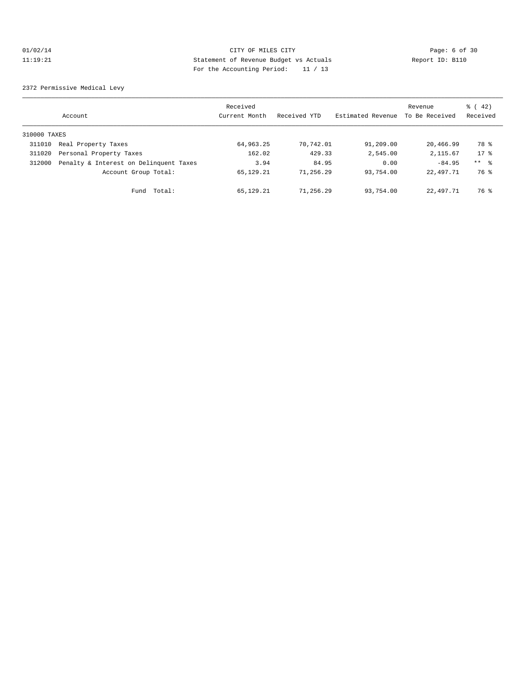## 01/02/14 Page: 6 of 30 11:19:21 Statement of Revenue Budget vs Actuals Report ID: B110 For the Accounting Period: 11 / 13

2372 Permissive Medical Levy

|              | Account                                | Received<br>Current Month | Received YTD | Estimated Revenue | Revenue<br>To Be Received | $\frac{1}{6}$ ( 42)<br>Received |
|--------------|----------------------------------------|---------------------------|--------------|-------------------|---------------------------|---------------------------------|
| 310000 TAXES |                                        |                           |              |                   |                           |                                 |
| 311010       | Real Property Taxes                    | 64,963.25                 | 70,742.01    | 91,209.00         | 20,466.99                 | 78 %                            |
| 311020       | Personal Property Taxes                | 162.02                    | 429.33       | 2,545.00          | 2,115.67                  | $17*$                           |
| 312000       | Penalty & Interest on Delinquent Taxes | 3.94                      | 84.95        | 0.00              | $-84.95$                  | $***$ %                         |
|              | Account Group Total:                   | 65,129.21                 | 71,256.29    | 93,754.00         | 22,497.71                 | 76 %                            |
|              | Total:<br>Fund                         | 65,129.21                 | 71,256.29    | 93,754.00         | 22,497.71                 | 76 %                            |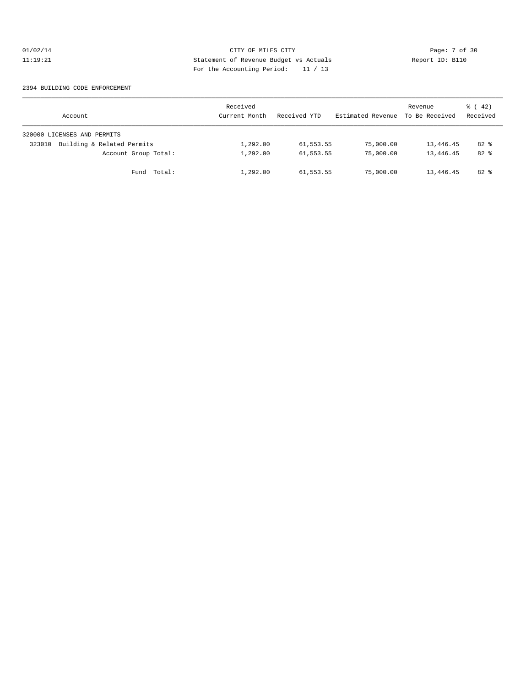## 01/02/14 CITY OF MILES CITY Page: 7 of 30<br>11:19:21 Statement of Revenue Budget vs Actuals Report ID: B110<br>21 Page the New Statement Contractor Page of 2016 11:19:21 Statement of Revenue Budget vs Actuals Report ID: B110 For the Accounting Period: 11 / 13

#### 2394 BUILDING CODE ENFORCEMENT

| Account                              | Received<br>Current Month | Received YTD | Estimated Revenue | Revenue<br>To Be Received | $\frac{1}{6}$ (42)<br>Received |
|--------------------------------------|---------------------------|--------------|-------------------|---------------------------|--------------------------------|
| 320000 LICENSES AND PERMITS          |                           |              |                   |                           |                                |
| Building & Related Permits<br>323010 | 1,292.00                  | 61,553.55    | 75,000.00         | 13,446.45                 | $82*$                          |
| Account Group Total:                 | 1,292.00                  | 61,553.55    | 75,000.00         | 13,446.45                 | $82*$                          |
| Fund Total:                          | 1,292.00                  | 61,553.55    | 75,000.00         | 13,446.45                 | $82*$                          |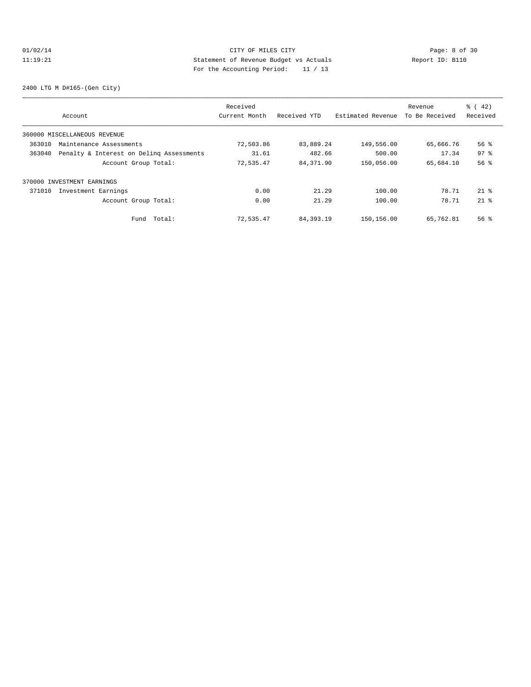## 01/02/14 CITY OF MILES CITY Page: 8 of 30 11:19:21 Statement of Revenue Budget vs Actuals Report ID: B110 For the Accounting Period: 11 / 13

2400 LTG M D#165-(Gen City)

|        |                                          | Received      |              |                   | Revenue        | $\frac{1}{6}$ ( 42) |
|--------|------------------------------------------|---------------|--------------|-------------------|----------------|---------------------|
|        | Account                                  | Current Month | Received YTD | Estimated Revenue | To Be Received | Received            |
|        | 360000 MISCELLANEOUS REVENUE             |               |              |                   |                |                     |
| 363010 | Maintenance Assessments                  | 72,503.86     | 83,889.24    | 149,556.00        | 65,666.76      | 56%                 |
| 363040 | Penalty & Interest on Deling Assessments | 31.61         | 482.66       | 500.00            | 17.34          | 97 <sup>°</sup>     |
|        | Account Group Total:                     | 72,535.47     | 84,371.90    | 150,056.00        | 65,684.10      | $56$ $%$            |
|        | 370000 INVESTMENT EARNINGS               |               |              |                   |                |                     |
| 371010 | Investment Earnings                      | 0.00          | 21.29        | 100.00            | 78.71          | $21*$               |
|        | Account Group Total:                     | 0.00          | 21.29        | 100.00            | 78.71          | $21*$               |
|        | Fund Total:                              | 72,535.47     | 84,393.19    | 150,156.00        | 65,762.81      | 56 <sup>8</sup>     |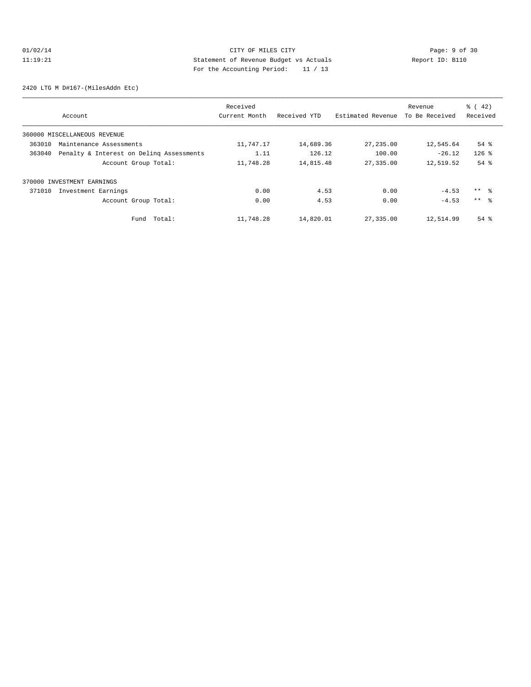## 01/02/14 Page: 9 of 30 11:19:21 Statement of Revenue Budget vs Actuals Report ID: B110 For the Accounting Period: 11 / 13

2420 LTG M D#167-(MilesAddn Etc)

|        |                                          | Received      |              |                   | Revenue        | $\frac{1}{6}$ ( 42) |
|--------|------------------------------------------|---------------|--------------|-------------------|----------------|---------------------|
|        | Account                                  | Current Month | Received YTD | Estimated Revenue | To Be Received | Received            |
|        | 360000 MISCELLANEOUS REVENUE             |               |              |                   |                |                     |
| 363010 | Maintenance Assessments                  | 11,747.17     | 14,689.36    | 27,235.00         | 12,545.64      | $54$ $%$            |
| 363040 | Penalty & Interest on Deling Assessments | 1.11          | 126.12       | 100.00            | $-26.12$       | $126$ %             |
|        | Account Group Total:                     | 11,748.28     | 14,815.48    | 27,335.00         | 12,519.52      | $54$ $%$            |
|        | 370000 INVESTMENT EARNINGS               |               |              |                   |                |                     |
| 371010 | Investment Earnings                      | 0.00          | 4.53         | 0.00              | $-4.53$        | ** 왕                |
|        | Account Group Total:                     | 0.00          | 4.53         | 0.00              | $-4.53$        | $***$ %             |
|        | Fund Total:                              | 11,748.28     | 14,820.01    | 27,335.00         | 12,514.99      | $54$ $%$            |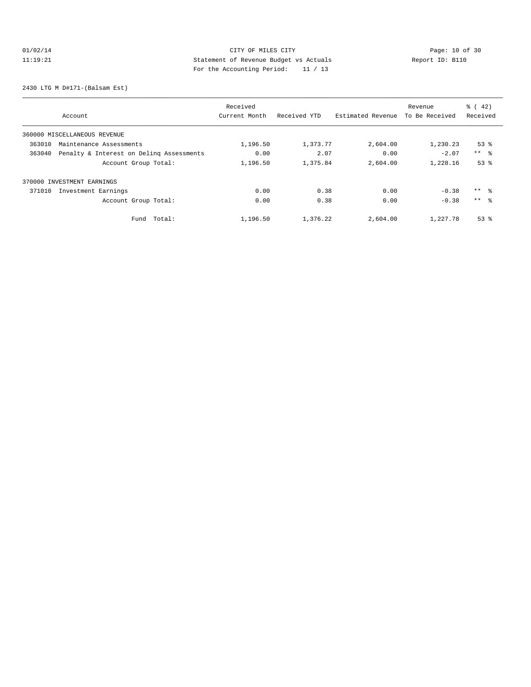## 01/02/14 CITY OF MILES CITY<br>11:19:21 Statement of Revenue Budget vs Actuals<br>For the Accounting Dominal: 11/12 11:19:21 Statement of Revenue Budget vs Actuals Report ID: B110 For the Accounting Period: 11 / 13

2430 LTG M D#171-(Balsam Est)

|        |                                          | Received      |              |                   | Revenue        | $\frac{1}{6}$ ( 42) |
|--------|------------------------------------------|---------------|--------------|-------------------|----------------|---------------------|
|        | Account                                  | Current Month | Received YTD | Estimated Revenue | To Be Received | Received            |
|        | 360000 MISCELLANEOUS REVENUE             |               |              |                   |                |                     |
| 363010 | Maintenance Assessments                  | 1,196.50      | 1,373.77     | 2,604.00          | 1,230.23       | $53$ $%$            |
| 363040 | Penalty & Interest on Deling Assessments | 0.00          | 2.07         | 0.00              | $-2.07$        | $***$ $ -$          |
|        | Account Group Total:                     | 1,196.50      | 1,375.84     | 2,604.00          | 1,228.16       | $53$ $%$            |
|        | 370000 INVESTMENT EARNINGS               |               |              |                   |                |                     |
| 371010 | Investment Earnings                      | 0.00          | 0.38         | 0.00              | $-0.38$        | $***$ $ -$          |
|        | Account Group Total:                     | 0.00          | 0.38         | 0.00              | $-0.38$        | $***$ %             |
|        | Total:<br>Fund                           | 1,196.50      | 1,376.22     | 2,604.00          | 1,227.78       | $53$ $%$            |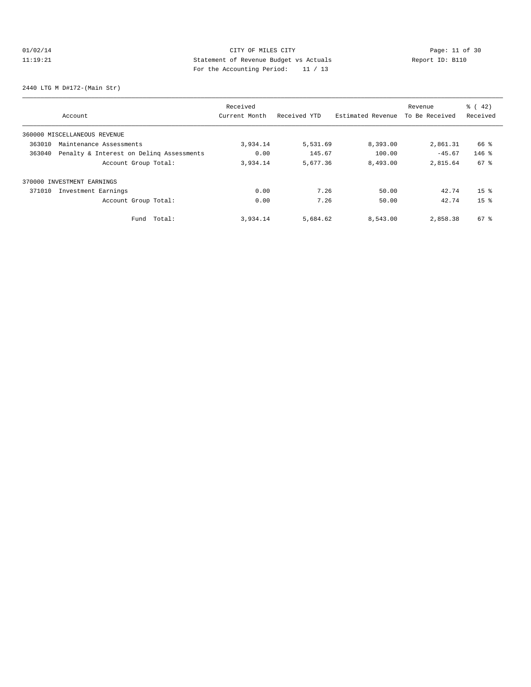# 01/02/14 Page: 11 of 30 11:19:21 Statement of Revenue Budget vs Actuals Report ID: B110<br>Report ID: B110 For the Accounting Period: 11 / 13

2440 LTG M D#172-(Main Str)

|                                                    | Received      |              |                   | Revenue        | $\frac{1}{6}$ ( 42) |
|----------------------------------------------------|---------------|--------------|-------------------|----------------|---------------------|
| Account                                            | Current Month | Received YTD | Estimated Revenue | To Be Received | Received            |
| 360000 MISCELLANEOUS REVENUE                       |               |              |                   |                |                     |
| 363010<br>Maintenance Assessments                  | 3,934.14      | 5,531.69     | 8,393.00          | 2,861.31       | 66 %                |
| Penalty & Interest on Deling Assessments<br>363040 | 0.00          | 145.67       | 100.00            | $-45.67$       | $146$ %             |
| Account Group Total:                               | 3,934.14      | 5,677.36     | 8,493.00          | 2,815.64       | 67 %                |
| 370000 INVESTMENT EARNINGS                         |               |              |                   |                |                     |
| 371010<br>Investment Earnings                      | 0.00          | 7.26         | 50.00             | 42.74          | 15 <sup>8</sup>     |
| Account Group Total:                               | 0.00          | 7.26         | 50.00             | 42.74          | 15 <sup>8</sup>     |
| Total:<br>Fund                                     | 3,934.14      | 5,684.62     | 8,543.00          | 2,858.38       | 67 %                |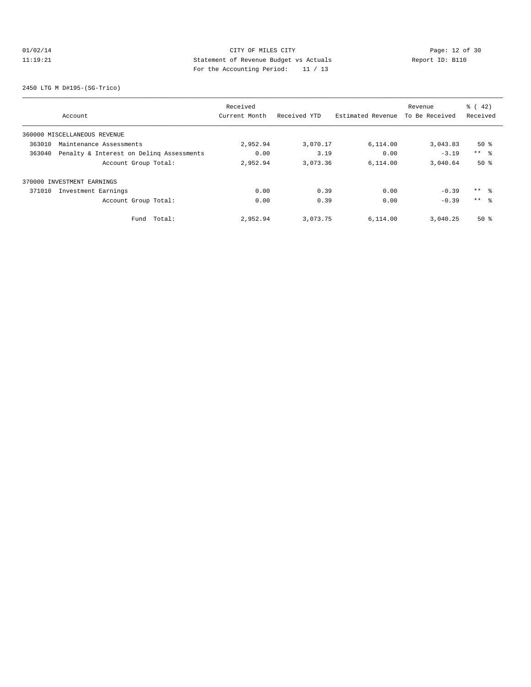## 01/02/14 Page: 12 of 30 11:19:21 Statement of Revenue Budget vs Actuals Report ID: B110 For the Accounting Period: 11 / 13

2450 LTG M D#195-(SG-Trico)

|        |                                          | Received      |              |                   | Revenue        | $\frac{1}{6}$ ( 42) |
|--------|------------------------------------------|---------------|--------------|-------------------|----------------|---------------------|
|        | Account                                  | Current Month | Received YTD | Estimated Revenue | To Be Received | Received            |
|        | 360000 MISCELLANEOUS REVENUE             |               |              |                   |                |                     |
| 363010 | Maintenance Assessments                  | 2,952.94      | 3,070.17     | 6,114.00          | 3,043.83       | $50*$               |
| 363040 | Penalty & Interest on Deling Assessments | 0.00          | 3.19         | 0.00              | $-3.19$        | $***$ $ -$          |
|        | Account Group Total:                     | 2,952.94      | 3,073.36     | 6,114.00          | 3,040.64       | $50*$               |
|        | 370000 INVESTMENT EARNINGS               |               |              |                   |                |                     |
| 371010 | Investment Earnings                      | 0.00          | 0.39         | 0.00              | $-0.39$        | $***$ $\approx$     |
|        | Account Group Total:                     | 0.00          | 0.39         | 0.00              | $-0.39$        | $***$ %             |
|        | Total:<br>Fund                           | 2,952.94      | 3,073.75     | 6,114.00          | 3,040.25       | $50*$               |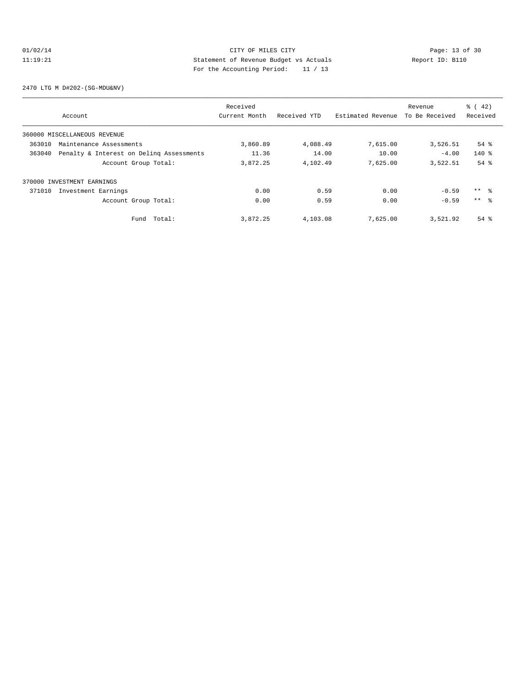## 01/02/14 CITY OF MILES CITY<br>11:19:21 Statement of Revenue Budget vs Actuals<br>21:19:21 CITY Page: 13 of 30<br>21:19:21 City of Actual Page: 13 of 20<br>21:19:21 City of Actual Page: 13 of 20<br>21:19:21 City of Actual Page: 13 of 20 11:19:21 Statement of Revenue Budget vs Actuals Report ID: B110 For the Accounting Period: 11 / 13

2470 LTG M D#202-(SG-MDU&NV)

|        |                                          | Received      |              |                   | Revenue        | $\frac{1}{6}$ ( 42) |
|--------|------------------------------------------|---------------|--------------|-------------------|----------------|---------------------|
|        | Account                                  | Current Month | Received YTD | Estimated Revenue | To Be Received | Received            |
|        | 360000 MISCELLANEOUS REVENUE             |               |              |                   |                |                     |
| 363010 | Maintenance Assessments                  | 3,860.89      | 4,088.49     | 7,615.00          | 3,526.51       | $54$ $%$            |
| 363040 | Penalty & Interest on Deling Assessments | 11.36         | 14.00        | 10.00             | $-4.00$        | $140*$              |
|        | Account Group Total:                     | 3,872.25      | 4,102.49     | 7,625.00          | 3,522.51       | $54$ $%$            |
|        | 370000 INVESTMENT EARNINGS               |               |              |                   |                |                     |
| 371010 | Investment Earnings                      | 0.00          | 0.59         | 0.00              | $-0.59$        | ** 왕                |
|        | Account Group Total:                     | 0.00          | 0.59         | 0.00              | $-0.59$        | $***$ $\approx$     |
|        | Total:<br>Fund                           | 3,872.25      | 4,103.08     | 7,625.00          | 3,521.92       | $54$ $%$            |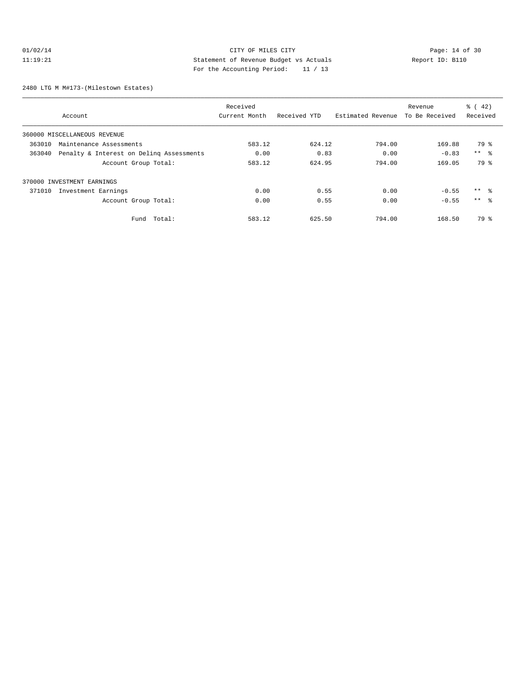## 01/02/14 Page: 14 of 30 11:19:21 Statement of Revenue Budget vs Actuals Report ID: B110 For the Accounting Period: 11 / 13

2480 LTG M M#173-(Milestown Estates)

|                                   |                                          | Received      |              |                   | Revenue        | $\frac{1}{6}$ ( 42) |
|-----------------------------------|------------------------------------------|---------------|--------------|-------------------|----------------|---------------------|
| Account                           |                                          | Current Month | Received YTD | Estimated Revenue | To Be Received | Received            |
| 360000 MISCELLANEOUS REVENUE      |                                          |               |              |                   |                |                     |
| 363010<br>Maintenance Assessments |                                          | 583.12        | 624.12       | 794.00            | 169.88         | 79 %                |
| 363040                            | Penalty & Interest on Deling Assessments | 0.00          | 0.83         | 0.00              | $-0.83$        | $***$ $ -$          |
|                                   | Account Group Total:                     | 583.12        | 624.95       | 794.00            | 169.05         | 79 %                |
| 370000 INVESTMENT EARNINGS        |                                          |               |              |                   |                |                     |
| 371010<br>Investment Earnings     |                                          | 0.00          | 0.55         | 0.00              | $-0.55$        | $***$ %             |
|                                   | Account Group Total:                     | 0.00          | 0.55         | 0.00              | $-0.55$        | $***$ $\approx$     |
|                                   | Total:<br>Fund                           | 583.12        | 625.50       | 794.00            | 168.50         | 79 %                |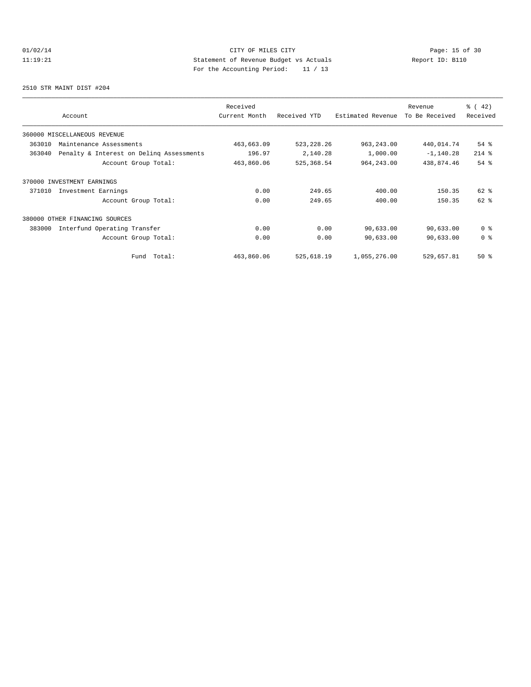## 01/02/14 Page: 15 of 30 11:19:21 Statement of Revenue Budget vs Actuals Report ID: B110<br>Report ID: B110 For the Accounting Period: 11 / 13

2510 STR MAINT DIST #204

| Account                                            | Received<br>Current Month | Received YTD | Estimated Revenue | Revenue<br>To Be Received | $\frac{1}{6}$ (42)<br>Received |
|----------------------------------------------------|---------------------------|--------------|-------------------|---------------------------|--------------------------------|
| 360000 MISCELLANEOUS REVENUE                       |                           |              |                   |                           |                                |
| 363010<br>Maintenance Assessments                  | 463,663.09                | 523, 228.26  | 963, 243.00       | 440,014.74                | $54$ $%$                       |
| 363040<br>Penalty & Interest on Deling Assessments | 196.97                    | 2,140.28     | 1,000.00          | $-1, 140.28$              | $214$ %                        |
| Account Group Total:                               | 463,860.06                | 525,368.54   | 964, 243.00       | 438,874.46                | 54%                            |
| 370000 INVESTMENT EARNINGS                         |                           |              |                   |                           |                                |
| Investment Earnings<br>371010                      | 0.00                      | 249.65       | 400.00            | 150.35                    | $62$ $%$                       |
| Account Group Total:                               | 0.00                      | 249.65       | 400.00            | 150.35                    | $62$ $%$                       |
| 380000<br>OTHER FINANCING SOURCES                  |                           |              |                   |                           |                                |
| 383000<br>Interfund Operating Transfer             | 0.00                      | 0.00         | 90,633.00         | 90,633.00                 | 0 <sup>8</sup>                 |
| Account Group Total:                               | 0.00                      | 0.00         | 90,633.00         | 90,633.00                 | 0 <sup>8</sup>                 |
| Total:<br>Fund                                     | 463,860.06                | 525,618.19   | 1,055,276.00      | 529,657.81                | $50*$                          |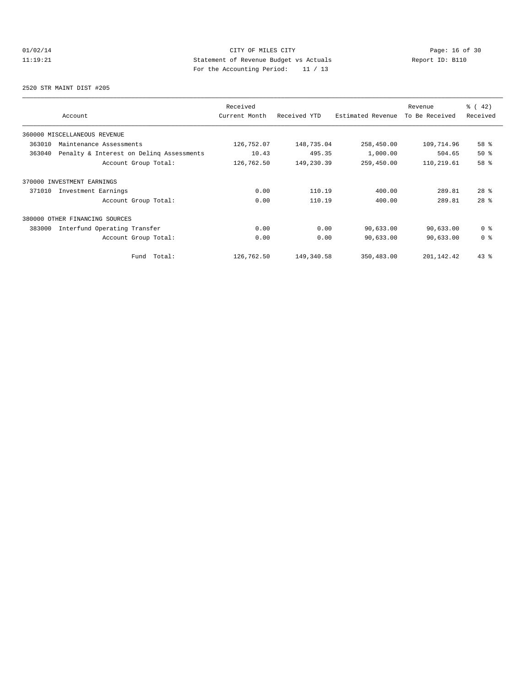## 01/02/14 Page: 16 of 30 11:19:21 Statement of Revenue Budget vs Actuals Report ID: B110<br>Report ID: B110 For the Accounting Period: 11 / 13

2520 STR MAINT DIST #205

| Account                                            | Received<br>Current Month | Received YTD | Estimated Revenue | Revenue<br>To Be Received | $\frac{1}{6}$ (42)<br>Received |
|----------------------------------------------------|---------------------------|--------------|-------------------|---------------------------|--------------------------------|
| 360000 MISCELLANEOUS REVENUE                       |                           |              |                   |                           |                                |
| 363010<br>Maintenance Assessments                  | 126,752.07                | 148,735.04   | 258,450.00        | 109,714.96                | 58 %                           |
| 363040<br>Penalty & Interest on Deling Assessments | 10.43                     | 495.35       | 1,000.00          | 504.65                    | 50%                            |
| Account Group Total:                               | 126,762.50                | 149,230.39   | 259,450.00        | 110,219.61                | 58 %                           |
| 370000 INVESTMENT EARNINGS                         |                           |              |                   |                           |                                |
| Investment Earnings<br>371010                      | 0.00                      | 110.19       | 400.00            | 289.81                    | $28$ $%$                       |
| Account Group Total:                               | 0.00                      | 110.19       | 400.00            | 289.81                    | 28 <sup>8</sup>                |
| 380000<br>OTHER FINANCING SOURCES                  |                           |              |                   |                           |                                |
| 383000<br>Interfund Operating Transfer             | 0.00                      | 0.00         | 90,633.00         | 90,633.00                 | 0 <sup>8</sup>                 |
| Account Group Total:                               | 0.00                      | 0.00         | 90,633.00         | 90,633.00                 | 0 <sup>8</sup>                 |
| Total:<br>Fund                                     | 126,762.50                | 149,340.58   | 350,483.00        | 201,142.42                | $43$ $%$                       |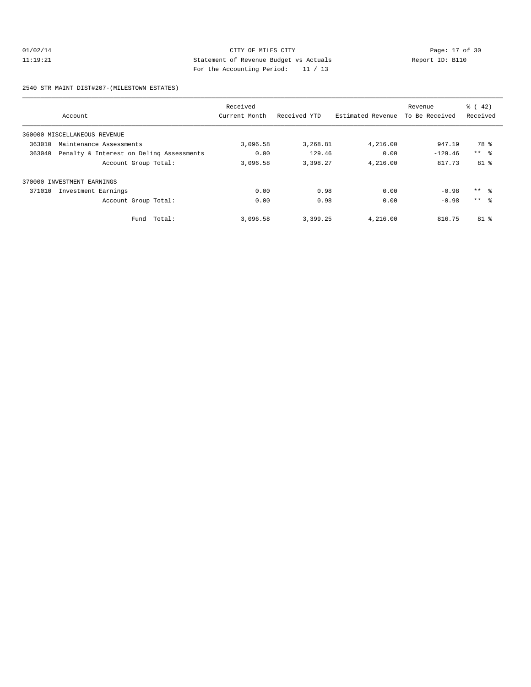## 01/02/14 Page: 17 of 30 11:19:21 Statement of Revenue Budget vs Actuals Report ID: B110 For the Accounting Period: 11 / 13

2540 STR MAINT DIST#207-(MILESTOWN ESTATES)

|        |                                          | Received      |              |                   | Revenue        | % (42)          |
|--------|------------------------------------------|---------------|--------------|-------------------|----------------|-----------------|
|        | Account                                  | Current Month | Received YTD | Estimated Revenue | To Be Received | Received        |
|        | 360000 MISCELLANEOUS REVENUE             |               |              |                   |                |                 |
| 363010 | Maintenance Assessments                  | 3,096.58      | 3,268.81     | 4,216.00          | 947.19         | 78 %            |
| 363040 | Penalty & Interest on Deling Assessments | 0.00          | 129.46       | 0.00              | $-129.46$      | $***$ $ -$      |
|        | Account Group Total:                     | 3,096.58      | 3,398.27     | 4,216.00          | 817.73         | 81 <sub>8</sub> |
|        | 370000 INVESTMENT EARNINGS               |               |              |                   |                |                 |
| 371010 | Investment Earnings                      | 0.00          | 0.98         | 0.00              | $-0.98$        | $***$ $ -$      |
|        | Account Group Total:                     | 0.00          | 0.98         | 0.00              | $-0.98$        | $***$ $\approx$ |
|        | Fund Total:                              | 3,096.58      | 3,399.25     | 4,216.00          | 816.75         | $81$ %          |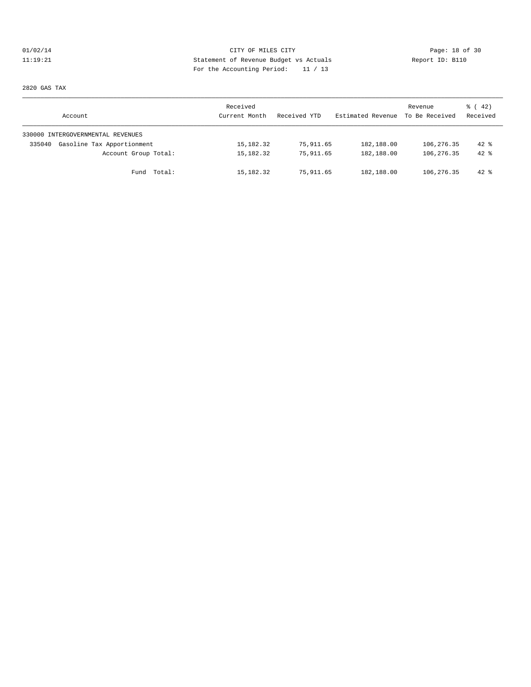## 01/02/14 Page: 18 of 30 11:19:21 Statement of Revenue Budget vs Actuals Report ID: B110<br>Report ID: B110 For the Accounting Period: 11 / 13

2820 GAS TAX

| Account                              | Received<br>Current Month | Received YTD | Estimated Revenue | Revenue<br>To Be Received | $\frac{1}{6}$ (42)<br>Received |
|--------------------------------------|---------------------------|--------------|-------------------|---------------------------|--------------------------------|
| 330000 INTERGOVERNMENTAL REVENUES    |                           |              |                   |                           |                                |
| Gasoline Tax Apportionment<br>335040 | 15,182.32                 | 75,911.65    | 182,188.00        | 106,276.35                | $42*$                          |
| Account Group Total:                 | 15,182.32                 | 75,911.65    | 182,188.00        | 106, 276. 35              | $42$ $%$                       |
| Fund Total:                          | 15,182.32                 | 75,911.65    | 182,188.00        | 106,276.35                | $42*$                          |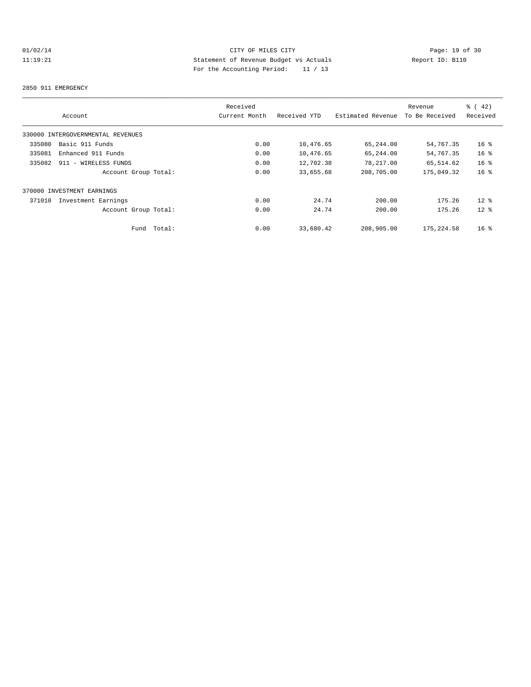## 01/02/14 Page: 19 of 30<br>11:19:21 CITY OF MILES CITY Page: 19 of 30<br>11:19:21 Statement of Revenue Budget vs Actuals<br>For the Accounting Positeir (11/12) 11:19:21 Statement of Revenue Budget vs Actuals Report ID: B110 For the Accounting Period: 11 / 13

#### 2850 911 EMERGENCY

|        |                                   |        | Received      |              |                   | Revenue        | $\frac{1}{6}$ ( 42) |
|--------|-----------------------------------|--------|---------------|--------------|-------------------|----------------|---------------------|
|        | Account                           |        | Current Month | Received YTD | Estimated Revenue | To Be Received | Received            |
|        | 330000 INTERGOVERNMENTAL REVENUES |        |               |              |                   |                |                     |
| 335080 | Basic 911 Funds                   |        | 0.00          | 10,476.65    | 65,244.00         | 54,767.35      | 16 <sup>°</sup>     |
| 335081 | Enhanced 911 Funds                |        | 0.00          | 10,476.65    | 65,244.00         | 54,767.35      | 16 <sup>°</sup>     |
| 335082 | 911 - WIRELESS FUNDS              |        | 0.00          | 12,702.38    | 78,217.00         | 65,514.62      | 16 <sup>°</sup>     |
|        | Account Group Total:              |        | 0.00          | 33,655.68    | 208,705.00        | 175,049.32     | 16 <sup>°</sup>     |
|        | 370000 INVESTMENT EARNINGS        |        |               |              |                   |                |                     |
| 371010 | Investment Earnings               |        | 0.00          | 24.74        | 200.00            | 175.26         | $12*$               |
|        | Account Group Total:              |        | 0.00          | 24.74        | 200.00            | 175.26         | $12*$               |
|        | Fund                              | Total: | 0.00          | 33,680.42    | 208,905.00        | 175, 224.58    | 16 <sup>8</sup>     |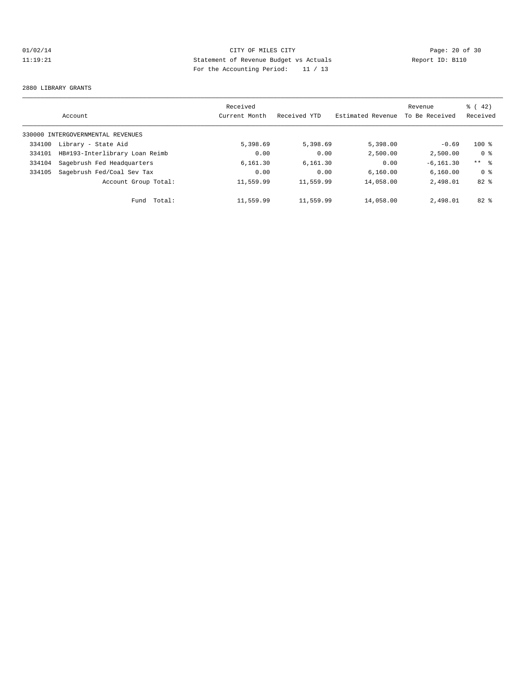## 01/02/14 Page: 20 of 30<br>11:19:21 CITY OF MILES CITY Page: 20 of 30<br>11:19:21 Statement of Revenue Budget vs Actuals<br>For the Accounting Dominal: 11 (12) 11:19:21 Statement of Revenue Budget vs Actuals Report ID: B110 For the Accounting Period: 11 / 13

#### 2880 LIBRARY GRANTS

|        | Account                           | Received<br>Current Month | Received YTD | Estimated Revenue | Revenue<br>To Be Received | $\frac{1}{6}$ ( 42)<br>Received |
|--------|-----------------------------------|---------------------------|--------------|-------------------|---------------------------|---------------------------------|
|        | 330000 INTERGOVERNMENTAL REVENUES |                           |              |                   |                           |                                 |
| 334100 | Library - State Aid               | 5,398.69                  | 5,398.69     | 5,398.00          | $-0.69$                   | $100*$                          |
| 334101 | HB#193-Interlibrary Loan Reimb    | 0.00                      | 0.00         | 2,500.00          | 2.500.00                  | 0 <sup>8</sup>                  |
| 334104 | Sagebrush Fed Headquarters        | 6,161.30                  | 6,161.30     | 0.00              | $-6, 161.30$              | $***$ $ -$                      |
| 334105 | Sagebrush Fed/Coal Sev Tax        | 0.00                      | 0.00         | 6.160.00          | 6.160.00                  | 0 <sup>8</sup>                  |
|        | Account Group Total:              | 11,559.99                 | 11,559.99    | 14,058.00         | 2,498.01                  | $82*$                           |
|        | Total:<br>Fund                    | 11,559.99                 | 11,559.99    | 14,058.00         | 2,498.01                  | $82*$                           |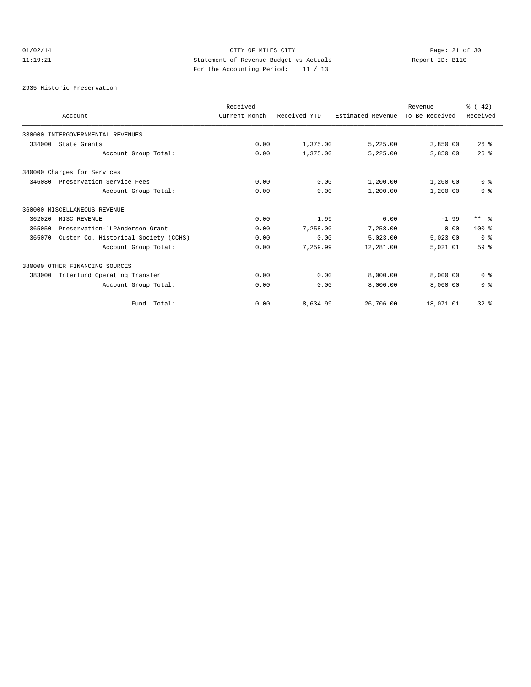# 01/02/14 Page: 21 of 30 11:19:21 Statement of Revenue Budget vs Actuals Report ID: B110 For the Accounting Period: 11 / 13

2935 Historic Preservation

|        |                                      | Received      |              |                   | Revenue        | % (42)         |
|--------|--------------------------------------|---------------|--------------|-------------------|----------------|----------------|
|        | Account                              | Current Month | Received YTD | Estimated Revenue | To Be Received | Received       |
|        | 330000 INTERGOVERNMENTAL REVENUES    |               |              |                   |                |                |
| 334000 | State Grants                         | 0.00          | 1,375.00     | 5,225.00          | 3,850.00       | 26%            |
|        | Account Group Total:                 | 0.00          | 1,375.00     | 5,225.00          | 3,850.00       | 26%            |
|        | 340000 Charges for Services          |               |              |                   |                |                |
| 346080 | Preservation Service Fees            | 0.00          | 0.00         | 1,200.00          | 1,200.00       | 0 <sup>8</sup> |
|        | Account Group Total:                 | 0.00          | 0.00         | 1,200.00          | 1,200.00       | 0 <sup>8</sup> |
|        | 360000 MISCELLANEOUS REVENUE         |               |              |                   |                |                |
| 362020 | MISC REVENUE                         | 0.00          | 1.99         | 0.00              | $-1.99$        | $***$ $ -$     |
| 365050 | Preservation-lLPAnderson Grant       | 0.00          | 7,258.00     | 7,258.00          | 0.00           | $100*$         |
| 365070 | Custer Co. Historical Society (CCHS) | 0.00          | 0.00         | 5,023.00          | 5,023.00       | 0 <sup>8</sup> |
|        | Account Group Total:                 | 0.00          | 7,259.99     | 12,281.00         | 5,021.01       | 59 %           |
|        | 380000 OTHER FINANCING SOURCES       |               |              |                   |                |                |
| 383000 | Interfund Operating Transfer         | 0.00          | 0.00         | 8,000.00          | 8,000.00       | 0 <sup>8</sup> |
|        | Account Group Total:                 | 0.00          | 0.00         | 8,000.00          | 8,000.00       | 0 <sup>8</sup> |
|        | Fund Total:                          | 0.00          | 8,634.99     | 26,706.00         | 18,071.01      | $32$ $%$       |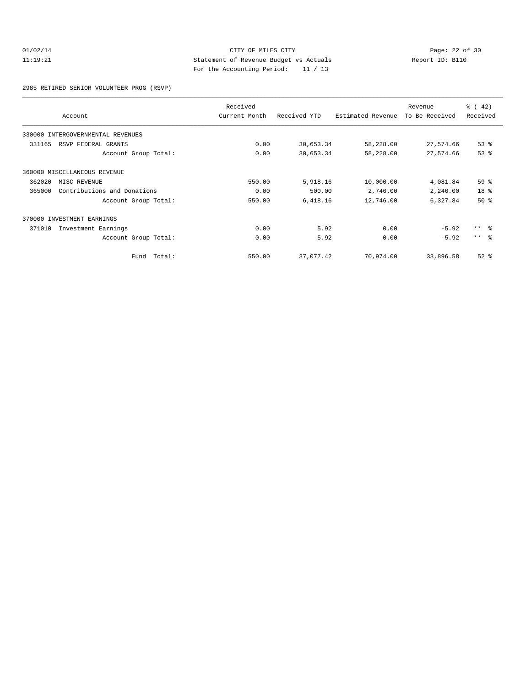## 01/02/14 CITY OF MILES CITY<br>11:19:21 Statement of Revenue Budget vs Actuals<br>21.19:21 CITY Page: 22 of 30<br>21.19:21 CITY Statement of Revenue Budget vs Actuals 11:19:21 Statement of Revenue Budget vs Actuals Report ID: B110 For the Accounting Period: 11 / 13

2985 RETIRED SENIOR VOLUNTEER PROG (RSVP)

|        | Account                           | Received<br>Current Month | Received YTD | Estimated Revenue | Revenue<br>To Be Received | $\frac{1}{6}$ (42)<br>Received |
|--------|-----------------------------------|---------------------------|--------------|-------------------|---------------------------|--------------------------------|
|        | 330000 INTERGOVERNMENTAL REVENUES |                           |              |                   |                           |                                |
| 331165 | RSVP FEDERAL GRANTS               | 0.00                      | 30,653.34    | 58,228.00         | 27,574.66                 | $53$ $%$                       |
|        | Account Group Total:              | 0.00                      | 30,653.34    | 58,228.00         | 27,574.66                 | 53%                            |
|        | 360000 MISCELLANEOUS REVENUE      |                           |              |                   |                           |                                |
| 362020 | MISC REVENUE                      | 550.00                    | 5,918.16     | 10,000.00         | 4,081.84                  | 59 %                           |
| 365000 | Contributions and Donations       | 0.00                      | 500.00       | 2,746.00          | 2,246.00                  | 18 <sup>°</sup>                |
|        | Account Group Total:              | 550.00                    | 6,418.16     | 12,746.00         | 6,327.84                  | 50%                            |
|        | 370000 INVESTMENT EARNINGS        |                           |              |                   |                           |                                |
| 371010 | Investment Earnings               | 0.00                      | 5.92         | 0.00              | $-5.92$                   | $***$ %                        |
|        | Account Group Total:              | 0.00                      | 5.92         | 0.00              | $-5.92$                   | $***$ $ -$                     |
|        | Total:<br>Fund                    | 550.00                    | 37,077.42    | 70,974.00         | 33,896.58                 | $52$ $%$                       |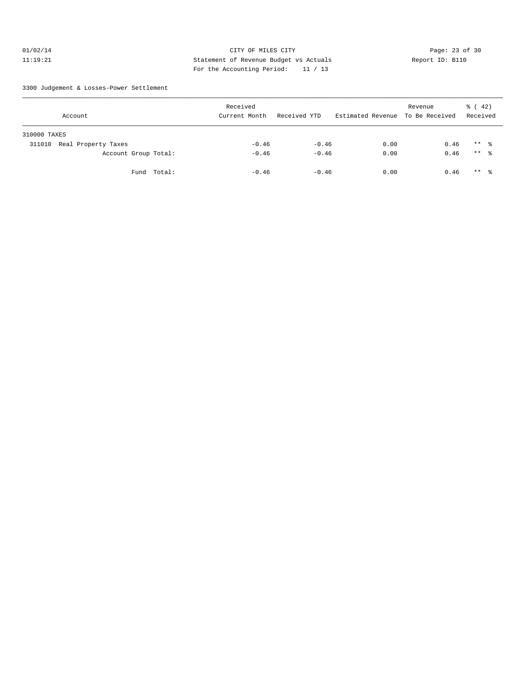## 01/02/14 Page: 23 of 30 11:19:21 Statement of Revenue Budget vs Actuals Report ID: B110 For the Accounting Period: 11 / 13

3300 Judgement & Losses-Power Settlement

| Account                       | Received<br>Current Month | Received YTD | Estimated Revenue To Be Received | Revenue | $\frac{1}{6}$ ( 42)<br>Received |
|-------------------------------|---------------------------|--------------|----------------------------------|---------|---------------------------------|
| 310000 TAXES                  |                           |              |                                  |         |                                 |
| Real Property Taxes<br>311010 | $-0.46$                   | $-0.46$      | 0.00                             | 0.46    | $***$ %                         |
| Account Group Total:          | $-0.46$                   | $-0.46$      | 0.00                             | 0.46    | ** 응                            |
| Fund Total:                   | $-0.46$                   | $-0.46$      | 0.00                             | 0.46    | $***$ %                         |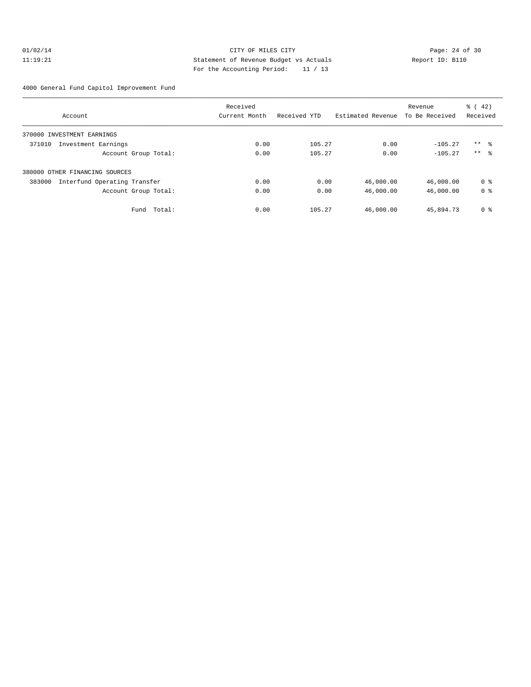## 01/02/14 Page: 24 of 30 11:19:21 Statement of Revenue Budget vs Actuals Report ID: B110 For the Accounting Period: 11 / 13

4000 General Fund Capitol Improvement Fund

|                                        | Received      |              |                   | Revenue        | $\frac{1}{6}$ ( 42) |
|----------------------------------------|---------------|--------------|-------------------|----------------|---------------------|
| Account                                | Current Month | Received YTD | Estimated Revenue | To Be Received | Received            |
| 370000 INVESTMENT EARNINGS             |               |              |                   |                |                     |
| 371010<br>Investment Earnings          | 0.00          | 105.27       | 0.00              | $-105.27$      | $***$ %             |
| Account Group Total:                   | 0.00          | 105.27       | 0.00              | $-105.27$      | $***$ 8             |
| 380000 OTHER FINANCING SOURCES         |               |              |                   |                |                     |
| 383000<br>Interfund Operating Transfer | 0.00          | 0.00         | 46,000.00         | 46,000.00      | 0 %                 |
| Account Group Total:                   | 0.00          | 0.00         | 46,000.00         | 46,000.00      | 0 <sup>8</sup>      |
| Total:<br>Fund                         | 0.00          | 105.27       | 46,000.00         | 45,894.73      | 0 <sup>8</sup>      |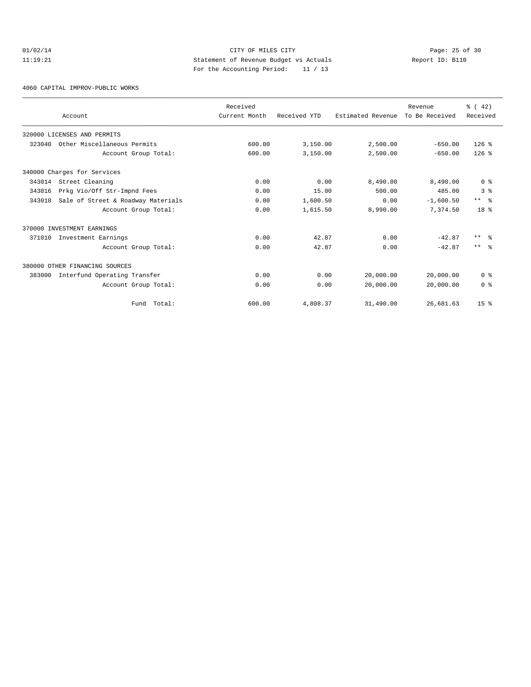## 01/02/14 Page: 25 of 30 11:19:21 Statement of Revenue Budget vs Actuals Report ID: B110 For the Accounting Period: 11 / 13

4060 CAPITAL IMPROV-PUBLIC WORKS

|        | Account                            | Received<br>Current Month | Received YTD | Estimated Revenue | Revenue<br>To Be Received | % (42)<br>Received      |
|--------|------------------------------------|---------------------------|--------------|-------------------|---------------------------|-------------------------|
|        |                                    |                           |              |                   |                           |                         |
|        | 320000 LICENSES AND PERMITS        |                           |              |                   |                           |                         |
| 323040 | Other Miscellaneous Permits        | 600.00                    | 3,150.00     | 2,500.00          | $-650.00$                 | $126$ %                 |
|        | Account Group Total:               | 600.00                    | 3,150.00     | 2,500.00          | $-650.00$                 | $126$ %                 |
|        | 340000 Charges for Services        |                           |              |                   |                           |                         |
| 343014 | Street Cleaning                    | 0.00                      | 0.00         | 8,490.00          | 8,490.00                  | 0 <sup>8</sup>          |
| 343016 | Prkg Vio/Off Str-Impnd Fees        | 0.00                      | 15.00        | 500.00            | 485.00                    | 3 <sup>8</sup>          |
| 343018 | Sale of Street & Roadway Materials | 0.00                      | 1,600.50     | 0.00              | $-1,600.50$               | $***$ $=$ $\frac{6}{5}$ |
|        | Account Group Total:               | 0.00                      | 1,615.50     | 8,990.00          | 7,374.50                  | 18 <sup>8</sup>         |
|        | 370000 INVESTMENT EARNINGS         |                           |              |                   |                           |                         |
| 371010 | Investment Earnings                | 0.00                      | 42.87        | 0.00              | $-42.87$                  | $\star\star$<br>ু ৯     |
|        | Account Group Total:               | 0.00                      | 42.87        | 0.00              | $-42.87$                  | $***$ $\approx$         |
|        | 380000 OTHER FINANCING SOURCES     |                           |              |                   |                           |                         |
| 383000 | Interfund Operating Transfer       | 0.00                      | 0.00         | 20,000.00         | 20,000.00                 | 0 <sup>8</sup>          |
|        | Account Group Total:               | 0.00                      | 0.00         | 20,000.00         | 20,000.00                 | 0 <sup>8</sup>          |
|        | Fund Total:                        | 600.00                    | 4,808.37     | 31,490.00         | 26,681.63                 | 15 <sup>8</sup>         |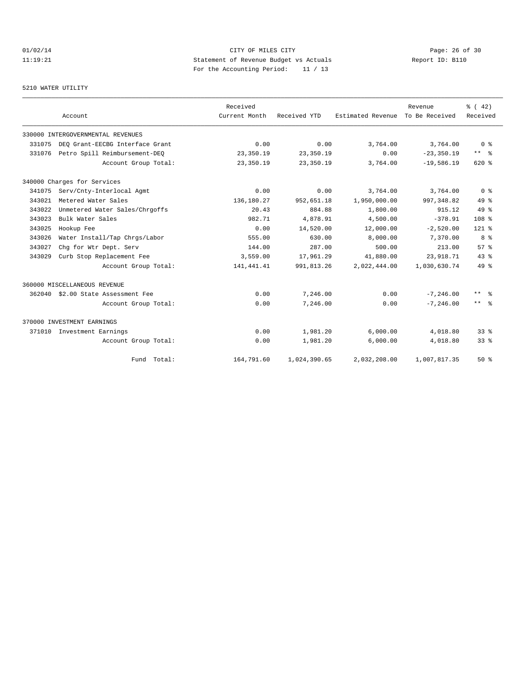# 01/02/14 CITY OF MILES CITY<br>11:19:21 Statement of Revenue Budget vs Actuals<br>11.19:21 Page: 26 of 30<br>Page: 26 of 30<br>Page: 26 of 30<br>Page: 26 of 30 11:19:21 Statement of Revenue Budget vs Actuals Report ID: B110 For the Accounting Period: 11 / 13

5210 WATER UTILITY

|        | Account                           | Received<br>Current Month | Received YTD | Estimated Revenue To Be Received | Revenue       | % (42)<br>Received   |
|--------|-----------------------------------|---------------------------|--------------|----------------------------------|---------------|----------------------|
|        | 330000 INTERGOVERNMENTAL REVENUES |                           |              |                                  |               |                      |
| 331075 | DEO Grant-EECBG Interface Grant   | 0.00                      | 0.00         | 3,764.00                         | 3,764.00      | 0 <sup>8</sup>       |
| 331076 | Petro Spill Reimbursement-DEQ     | 23,350.19                 | 23,350.19    | 0.00                             | $-23, 350.19$ | $***$ $ \frac{6}{9}$ |
|        | Account Group Total:              | 23,350.19                 | 23,350.19    | 3,764.00                         | $-19,586.19$  | $620*$               |
|        | 340000 Charges for Services       |                           |              |                                  |               |                      |
| 341075 | Serv/Cnty-Interlocal Agmt         | 0.00                      | 0.00         | 3,764.00                         | 3,764.00      | 0 <sup>8</sup>       |
| 343021 | Metered Water Sales               | 136,180.27                | 952,651.18   | 1,950,000.00                     | 997, 348.82   | 49.8                 |
| 343022 | Unmetered Water Sales/Chrgoffs    | 20.43                     | 884.88       | 1,800.00                         | 915.12        | 49 %                 |
| 343023 | Bulk Water Sales                  | 982.71                    | 4,878.91     | 4,500.00                         | $-378.91$     | 108 <sup>8</sup>     |
| 343025 | Hookup Fee                        | 0.00                      | 14,520.00    | 12,000.00                        | $-2,520.00$   | $121$ %              |
| 343026 | Water Install/Tap Chrgs/Labor     | 555.00                    | 630.00       | 8,000.00                         | 7,370.00      | 8 <sup>8</sup>       |
| 343027 | Chq for Wtr Dept. Serv            | 144.00                    | 287.00       | 500.00                           | 213.00        | 57%                  |
| 343029 | Curb Stop Replacement Fee         | 3,559.00                  | 17,961.29    | 41,880.00                        | 23,918.71     | 43%                  |
|        | Account Group Total:              | 141, 441.41               | 991,813.26   | 2,022,444.00                     | 1,030,630.74  | 49 %                 |
|        | 360000 MISCELLANEOUS REVENUE      |                           |              |                                  |               |                      |
| 362040 | \$2.00 State Assessment Fee       | 0.00                      | 7.246.00     | 0.00                             | $-7, 246, 00$ | $***$ $%$            |
|        | Account Group Total:              | 0.00                      | 7,246.00     | 0.00                             | $-7, 246.00$  | $***$ $ \frac{6}{6}$ |
|        | 370000 INVESTMENT EARNINGS        |                           |              |                                  |               |                      |
| 371010 | Investment Earnings               | 0.00                      | 1,981.20     | 6,000.00                         | 4,018.80      | 33 <sup>8</sup>      |
|        | Account Group Total:              | 0.00                      | 1,981.20     | 6,000.00                         | 4,018.80      | 33 <sup>8</sup>      |
|        | Fund Total:                       | 164,791.60                | 1,024,390.65 | 2,032,208.00                     | 1,007,817.35  | $50*$                |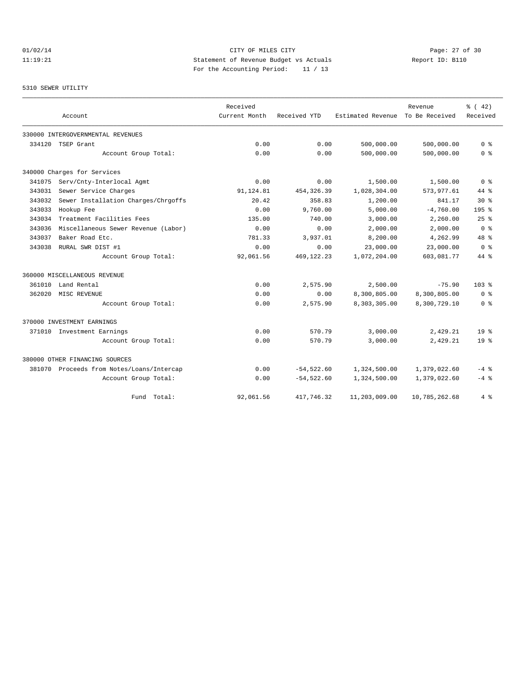## 01/02/14 Page: 27 of 30 11:19:21 Statement of Revenue Budget vs Actuals Report ID: B110 For the Accounting Period: 11 / 13

#### 5310 SEWER UTILITY

|        |                                           | Received      |              |                   | Revenue        | % (42)           |
|--------|-------------------------------------------|---------------|--------------|-------------------|----------------|------------------|
|        | Account                                   | Current Month | Received YTD | Estimated Revenue | To Be Received | Received         |
|        | 330000 INTERGOVERNMENTAL REVENUES         |               |              |                   |                |                  |
| 334120 | TSEP Grant                                | 0.00          | 0.00         | 500,000.00        | 500,000.00     | 0 <sup>8</sup>   |
|        | Account Group Total:                      | 0.00          | 0.00         | 500,000.00        | 500,000.00     | 0 <sup>8</sup>   |
|        | 340000 Charges for Services               |               |              |                   |                |                  |
| 341075 | Serv/Cnty-Interlocal Agmt                 | 0.00          | 0.00         | 1,500.00          | 1,500.00       | 0 <sup>8</sup>   |
| 343031 | Sewer Service Charges                     | 91,124.81     | 454, 326.39  | 1,028,304.00      | 573,977.61     | 44 %             |
| 343032 | Sewer Installation Charges/Chrgoffs       | 20.42         | 358.83       | 1,200.00          | 841.17         | $30*$            |
| 343033 | Hookup Fee                                | 0.00          | 9,760.00     | 5,000.00          | $-4,760.00$    | 195 <sub>8</sub> |
| 343034 | Treatment Facilities Fees                 | 135.00        | 740.00       | 3,000.00          | 2,260.00       | $25$ $%$         |
| 343036 | Miscellaneous Sewer Revenue (Labor)       | 0.00          | 0.00         | 2,000.00          | 2,000.00       | 0 <sup>8</sup>   |
| 343037 | Baker Road Etc.                           | 781.33        | 3,937.01     | 8,200.00          | 4,262.99       | $48*$            |
| 343038 | RURAL SWR DIST #1                         | 0.00          | 0.00         | 23,000.00         | 23,000.00      | 0 <sup>8</sup>   |
|        | Account Group Total:                      | 92,061.56     | 469, 122. 23 | 1,072,204.00      | 603,081.77     | $44*$            |
|        | 360000 MISCELLANEOUS REVENUE              |               |              |                   |                |                  |
| 361010 | Land Rental                               | 0.00          | 2,575.90     | 2,500.00          | $-75.90$       | 103 <sub>8</sub> |
| 362020 | MISC REVENUE                              | 0.00          | 0.00         | 8,300,805.00      | 8,300,805.00   | 0 <sup>8</sup>   |
|        | Account Group Total:                      | 0.00          | 2,575.90     | 8,303,305.00      | 8,300,729.10   | 0 <sup>8</sup>   |
|        | 370000 INVESTMENT EARNINGS                |               |              |                   |                |                  |
|        | 371010 Investment Earnings                | 0.00          | 570.79       | 3,000.00          | 2,429.21       | 19 <sup>8</sup>  |
|        | Account Group Total:                      | 0.00          | 570.79       | 3,000.00          | 2,429.21       | 19 <sup>°</sup>  |
|        | 380000 OTHER FINANCING SOURCES            |               |              |                   |                |                  |
|        | 381070 Proceeds from Notes/Loans/Intercap | 0.00          | $-54,522.60$ | 1,324,500.00      | 1,379,022.60   | $-4$ %           |
|        | Account Group Total:                      | 0.00          | $-54,522.60$ | 1,324,500.00      | 1,379,022.60   | $-4$ %           |
|        | Fund Total:                               | 92,061.56     | 417,746.32   | 11,203,009.00     | 10,785,262.68  | 4%               |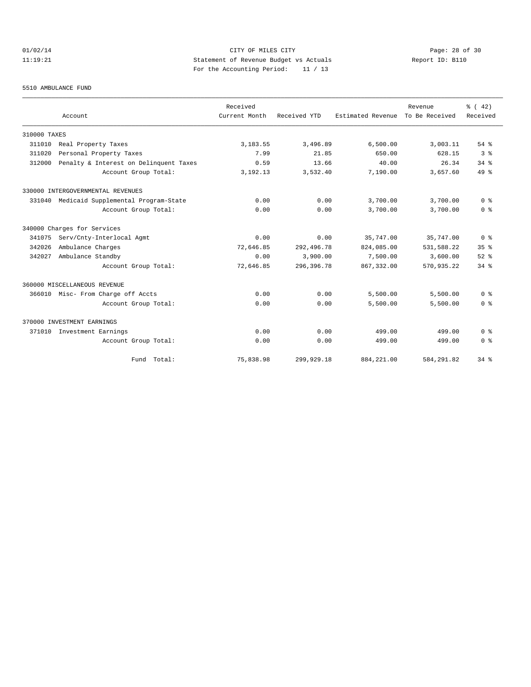# 01/02/14 Page: 28 of 30 11:19:21 Statement of Revenue Budget vs Actuals Report ID: B110 For the Accounting Period: 11 / 13

#### 5510 AMBULANCE FUND

|              | Account                                | Received<br>Current Month | Received YTD | Estimated Revenue | Revenue<br>To Be Received | % (42)<br>Received |
|--------------|----------------------------------------|---------------------------|--------------|-------------------|---------------------------|--------------------|
|              |                                        |                           |              |                   |                           |                    |
| 310000 TAXES |                                        |                           |              |                   |                           |                    |
| 311010       | Real Property Taxes                    | 3,183.55                  | 3,496.89     | 6,500.00          | 3,003.11                  | $54$ $%$           |
| 311020       | Personal Property Taxes                | 7.99                      | 21.85        | 650.00            | 628.15                    | 3 <sup>8</sup>     |
| 312000       | Penalty & Interest on Delinquent Taxes | 0.59                      | 13.66        | 40.00             | 26.34                     | $34$ $%$           |
|              | Account Group Total:                   | 3,192.13                  | 3,532.40     | 7,190.00          | 3,657.60                  | 49 %               |
|              | 330000 INTERGOVERNMENTAL REVENUES      |                           |              |                   |                           |                    |
| 331040       | Medicaid Supplemental Program-State    | 0.00                      | 0.00         | 3,700.00          | 3,700.00                  | 0 <sup>8</sup>     |
|              | Account Group Total:                   | 0.00                      | 0.00         | 3,700.00          | 3,700.00                  | 0 <sup>8</sup>     |
|              | 340000 Charges for Services            |                           |              |                   |                           |                    |
| 341075       | Serv/Cnty-Interlocal Agmt              | 0.00                      | 0.00         | 35,747.00         | 35,747.00                 | 0 <sup>8</sup>     |
| 342026       | Ambulance Charges                      | 72,646.85                 | 292,496.78   | 824,085.00        | 531,588.22                | 35 <sup>8</sup>    |
| 342027       | Ambulance Standby                      | 0.00                      | 3,900.00     | 7,500.00          | 3,600.00                  | $52$ $%$           |
|              | Account Group Total:                   | 72,646.85                 | 296, 396, 78 | 867, 332, 00      | 570,935.22                | $34$ $%$           |
|              | 360000 MISCELLANEOUS REVENUE           |                           |              |                   |                           |                    |
| 366010       | Misc- From Charge off Accts            | 0.00                      | 0.00         | 5,500.00          | 5,500.00                  | 0 <sup>8</sup>     |
|              | Account Group Total:                   | 0.00                      | 0.00         | 5,500.00          | 5,500.00                  | 0 <sup>8</sup>     |
|              | 370000 INVESTMENT EARNINGS             |                           |              |                   |                           |                    |
| 371010       | Investment Earnings                    | 0.00                      | 0.00         | 499.00            | 499.00                    | 0 <sup>8</sup>     |
|              | Account Group Total:                   | 0.00                      | 0.00         | 499.00            | 499.00                    | 0 <sup>8</sup>     |
|              | Fund Total:                            | 75,838.98                 | 299,929.18   | 884, 221.00       | 584, 291.82               | $34$ $%$           |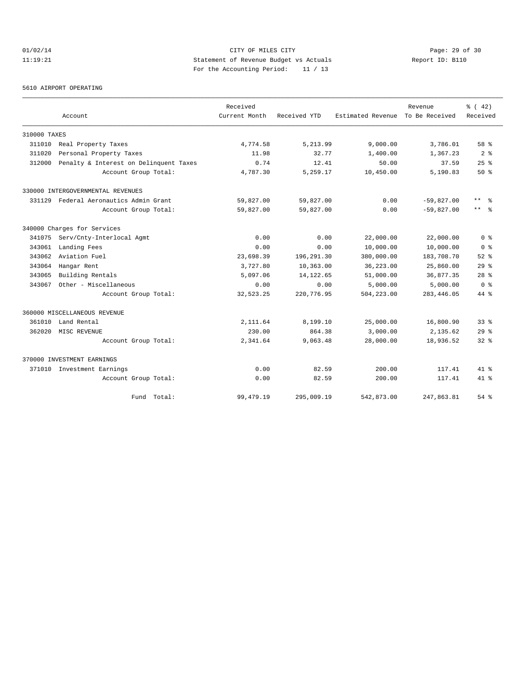# 01/02/14 Page: 29 of 30 11:19:21 Statement of Revenue Budget vs Actuals Report ID: B110 For the Accounting Period: 11 / 13

#### 5610 AIRPORT OPERATING

|              |                                        | Received      |              |                   | Revenue        | % (42)             |
|--------------|----------------------------------------|---------------|--------------|-------------------|----------------|--------------------|
|              | Account                                | Current Month | Received YTD | Estimated Revenue | To Be Received | Received           |
| 310000 TAXES |                                        |               |              |                   |                |                    |
| 311010       | Real Property Taxes                    | 4,774.58      | 5,213.99     | 9,000.00          | 3,786.01       | 58 %               |
| 311020       | Personal Property Taxes                | 11.98         | 32.77        | 1,400.00          | 1,367.23       | 2 <sup>8</sup>     |
| 312000       | Penalty & Interest on Delinquent Taxes | 0.74          | 12.41        | 50.00             | 37.59          | $25$ $\frac{6}{5}$ |
|              | Account Group Total:                   | 4,787.30      | 5,259.17     | 10,450.00         | 5,190.83       | $50*$              |
|              | 330000 INTERGOVERNMENTAL REVENUES      |               |              |                   |                |                    |
| 331129       | Federal Aeronautics Admin Grant        | 59,827.00     | 59,827.00    | 0.00              | $-59,827.00$   | $***$<br>- 옹       |
|              | Account Group Total:                   | 59,827.00     | 59,827.00    | 0.00              | $-59,827.00$   | $***$ $ -$         |
|              | 340000 Charges for Services            |               |              |                   |                |                    |
| 341075       | Serv/Cnty-Interlocal Agmt              | 0.00          | 0.00         | 22,000.00         | 22,000.00      | 0 <sup>8</sup>     |
| 343061       | Landing Fees                           | 0.00          | 0.00         | 10,000.00         | 10,000.00      | 0 <sup>8</sup>     |
| 343062       | Aviation Fuel                          | 23,698.39     | 196,291.30   | 380,000.00        | 183,708.70     | $52$ $%$           |
| 343064       | Hangar Rent                            | 3,727.80      | 10,363.00    | 36, 223.00        | 25,860.00      | 29%                |
| 343065       | Building Rentals                       | 5,097.06      | 14, 122.65   | 51,000.00         | 36,877.35      | $28$ %             |
| 343067       | Other - Miscellaneous                  | 0.00          | 0.00         | 5,000.00          | 5,000.00       | 0 <sup>8</sup>     |
|              | Account Group Total:                   | 32,523.25     | 220,776.95   | 504,223.00        | 283, 446.05    | 44 %               |
|              | 360000 MISCELLANEOUS REVENUE           |               |              |                   |                |                    |
| 361010       | Land Rental                            | 2,111.64      | 8,199.10     | 25,000.00         | 16,800.90      | $33*$              |
| 362020       | MISC REVENUE                           | 230.00        | 864.38       | 3,000.00          | 2,135.62       | 29%                |
|              | Account Group Total:                   | 2,341.64      | 9,063.48     | 28,000.00         | 18,936.52      | $32*$              |
|              | 370000 INVESTMENT EARNINGS             |               |              |                   |                |                    |
|              | 371010 Investment Earnings             | 0.00          | 82.59        | 200.00            | 117.41         | $41*$              |
|              | Account Group Total:                   | 0.00          | 82.59        | 200.00            | 117.41         | $41*$              |
|              | Fund Total:                            | 99, 479.19    | 295,009.19   | 542,873.00        | 247,863.81     | $54$ $%$           |